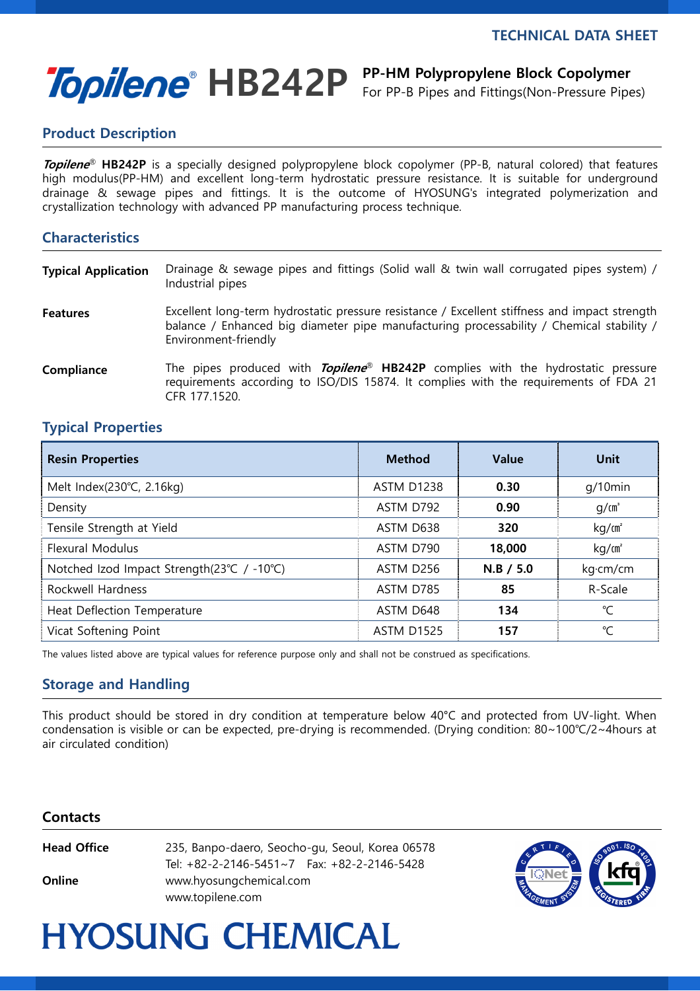i<br>I

# Topilene<sup>®</sup> HB242P PP-HM Polypropylene Block Copolymer

For PP-B Pipes and Fittings(Non-Pressure Pipes)

## Product Description

Topilene<sup>®</sup> HB242P is a specially designed polypropylene block copolymer (PP-B, natural colored) that features high modulus(PP-HM) and excellent long-term hydrostatic pressure resistance. It is suitable for underground drainage & sewage pipes and fittings. It is the outcome of HYOSUNG's integrated polymerization and crystallization technology with advanced PP manufacturing process technique.

### **Characteristics**

| <b>Typical Application</b> | Drainage & sewage pipes and fittings (Solid wall & twin wall corrugated pipes system) /<br>Industrial pipes                                                                                                       |
|----------------------------|-------------------------------------------------------------------------------------------------------------------------------------------------------------------------------------------------------------------|
| <b>Features</b>            | Excellent long-term hydrostatic pressure resistance / Excellent stiffness and impact strength<br>balance / Enhanced big diameter pipe manufacturing processability / Chemical stability /<br>Environment-friendly |
| Compliance                 | The pipes produced with <i>Topilene</i> <sup>®</sup> HB242P complies with the hydrostatic pressure<br>requirements according to ISO/DIS 15874. It complies with the requirements of FDA 21<br>CFR 177.1520.       |

### Typical Properties

| <b>Resin Properties</b>                    | <b>Method</b>     | <b>Value</b> | Unit              |
|--------------------------------------------|-------------------|--------------|-------------------|
| Melt Index(230°C, 2.16kg)                  | ASTM D1238        | 0.30         | $q/10$ min        |
| Density                                    | ASTM D792         | 0.90         | q/cm <sup>3</sup> |
| Tensile Strength at Yield                  | ASTM D638         | 320          | kg/m <sup>2</sup> |
| <b>Flexural Modulus</b>                    | ASTM D790         | 18,000       | kg/m <sup>2</sup> |
| Notched Izod Impact Strength(23°C / -10°C) | ASTM D256         | $N.B$ / 5.0  | kg·cm/cm          |
| Rockwell Hardness                          | ASTM D785         | 85           | R-Scale           |
| Heat Deflection Temperature                | ASTM D648         | 134          | ℃                 |
| Vicat Softening Point                      | <b>ASTM D1525</b> | 157          | °C                |

The values listed above are typical values for reference purpose only and shall not be construed as specifications.

### Storage and Handling

This product should be stored in dry condition at temperature below 40°C and protected from UV-light. When condensation is visible or can be expected, pre-drying is recommended. (Drying condition: 80~100℃/2~4hours at air circulated condition)

#### **Contacts**

| Head Office | 235, Banpo-daero, Seocho-gu, Seoul, Korea 06578    |  |  |
|-------------|----------------------------------------------------|--|--|
|             | Tel: $+82-2-2146-5451\sim7$ Fax: $+82-2-2146-5428$ |  |  |
| Online      | www.hyosungchemical.com                            |  |  |
|             | www.topilene.com                                   |  |  |



# **HYOSUNG CHEMICAL**